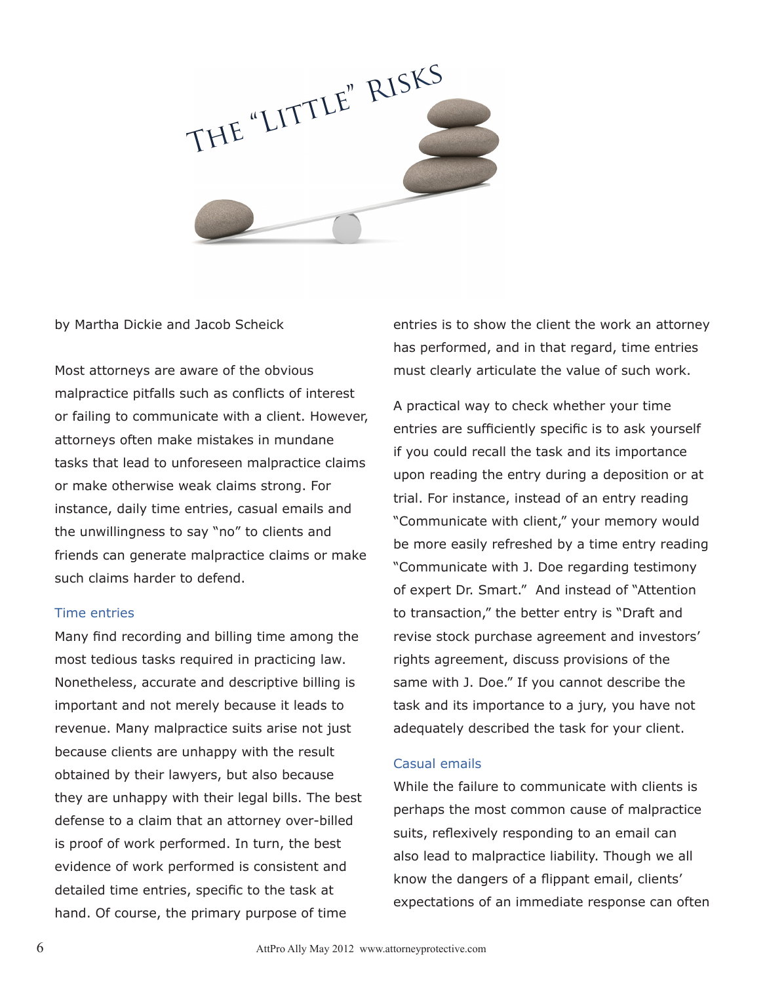

by Martha Dickie and Jacob Scheick

Most attorneys are aware of the obvious malpractice pitfalls such as conflicts of interest or failing to communicate with a client. However, attorneys often make mistakes in mundane tasks that lead to unforeseen malpractice claims or make otherwise weak claims strong. For instance, daily time entries, casual emails and the unwillingness to say "no" to clients and friends can generate malpractice claims or make such claims harder to defend.

## Time entries

Many find recording and billing time among the most tedious tasks required in practicing law. Nonetheless, accurate and descriptive billing is important and not merely because it leads to revenue. Many malpractice suits arise not just because clients are unhappy with the result obtained by their lawyers, but also because they are unhappy with their legal bills. The best defense to a claim that an attorney over-billed is proof of work performed. In turn, the best evidence of work performed is consistent and detailed time entries, specific to the task at hand. Of course, the primary purpose of time

entries is to show the client the work an attorney has performed, and in that regard, time entries must clearly articulate the value of such work.

A practical way to check whether your time entries are sufficiently specific is to ask yourself if you could recall the task and its importance upon reading the entry during a deposition or at trial. For instance, instead of an entry reading "Communicate with client," your memory would be more easily refreshed by a time entry reading "Communicate with J. Doe regarding testimony of expert Dr. Smart." And instead of "Attention to transaction," the better entry is "Draft and revise stock purchase agreement and investors' rights agreement, discuss provisions of the same with J. Doe." If you cannot describe the task and its importance to a jury, you have not adequately described the task for your client.

## Casual emails

While the failure to communicate with clients is perhaps the most common cause of malpractice suits, reflexively responding to an email can also lead to malpractice liability. Though we all know the dangers of a flippant email, clients' expectations of an immediate response can often